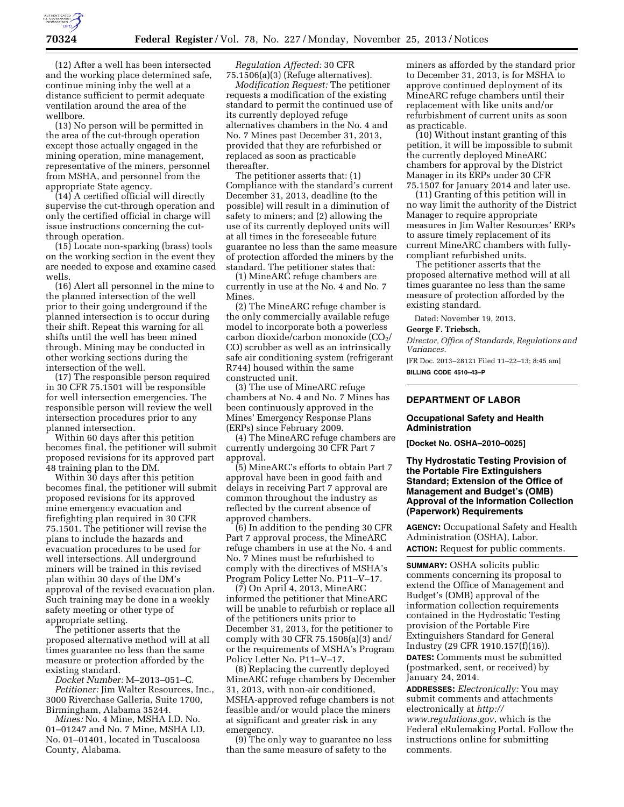

(12) After a well has been intersected and the working place determined safe, continue mining inby the well at a distance sufficient to permit adequate ventilation around the area of the wellbore.

(13) No person will be permitted in the area of the cut-through operation except those actually engaged in the mining operation, mine management, representative of the miners, personnel from MSHA, and personnel from the appropriate State agency.

(14) A certified official will directly supervise the cut-through operation and only the certified official in charge will issue instructions concerning the cutthrough operation.

(15) Locate non-sparking (brass) tools on the working section in the event they are needed to expose and examine cased wells.

(16) Alert all personnel in the mine to the planned intersection of the well prior to their going underground if the planned intersection is to occur during their shift. Repeat this warning for all shifts until the well has been mined through. Mining may be conducted in other working sections during the intersection of the well.

(17) The responsible person required in 30 CFR 75.1501 will be responsible for well intersection emergencies. The responsible person will review the well intersection procedures prior to any planned intersection.

Within 60 days after this petition becomes final, the petitioner will submit proposed revisions for its approved part 48 training plan to the DM.

Within 30 days after this petition becomes final, the petitioner will submit proposed revisions for its approved mine emergency evacuation and firefighting plan required in 30 CFR 75.1501. The petitioner will revise the plans to include the hazards and evacuation procedures to be used for well intersections. All underground miners will be trained in this revised plan within 30 days of the DM's approval of the revised evacuation plan. Such training may be done in a weekly safety meeting or other type of appropriate setting.

The petitioner asserts that the proposed alternative method will at all times guarantee no less than the same measure or protection afforded by the existing standard.

*Docket Number:* M–2013–051–C. *Petitioner:* Jim Walter Resources, Inc., 3000 Riverchase Galleria, Suite 1700, Birmingham, Alabama 35244.

*Mines:* No. 4 Mine, MSHA I.D. No. 01–01247 and No. 7 Mine, MSHA I.D. No. 01–01401, located in Tuscaloosa County, Alabama.

*Regulation Affected:* 30 CFR 75.1506(a)(3) (Refuge alternatives).

*Modification Request:* The petitioner requests a modification of the existing standard to permit the continued use of its currently deployed refuge alternatives chambers in the No. 4 and No. 7 Mines past December 31, 2013, provided that they are refurbished or replaced as soon as practicable thereafter.

The petitioner asserts that: (1) Compliance with the standard's current December 31, 2013, deadline (to the possible) will result in a diminution of safety to miners; and (2) allowing the use of its currently deployed units will at all times in the foreseeable future guarantee no less than the same measure of protection afforded the miners by the standard. The petitioner states that:

(1) MineARC refuge chambers are currently in use at the No. 4 and No. 7 Mines.

(2) The MineARC refuge chamber is the only commercially available refuge model to incorporate both a powerless carbon dioxide/carbon monoxide  $(CO<sub>2</sub>$ / CO) scrubber as well as an intrinsically safe air conditioning system (refrigerant R744) housed within the same constructed unit.

(3) The use of MineARC refuge chambers at No. 4 and No. 7 Mines has been continuously approved in the Mines' Emergency Response Plans (ERPs) since February 2009.

(4) The MineARC refuge chambers are currently undergoing 30 CFR Part 7 approval.

(5) MineARC's efforts to obtain Part 7 approval have been in good faith and delays in receiving Part 7 approval are common throughout the industry as reflected by the current absence of approved chambers.

(6) In addition to the pending 30 CFR Part 7 approval process, the MineARC refuge chambers in use at the No. 4 and No. 7 Mines must be refurbished to comply with the directives of MSHA's Program Policy Letter No. P11–V–17.

(7) On April 4, 2013, MineARC informed the petitioner that MineARC will be unable to refurbish or replace all of the petitioners units prior to December 31, 2013, for the petitioner to comply with 30 CFR 75.1506(a)(3) and/ or the requirements of MSHA's Program Policy Letter No. P11–V–17.

(8) Replacing the currently deployed MineARC refuge chambers by December 31, 2013, with non-air conditioned, MSHA-approved refuge chambers is not feasible and/or would place the miners at significant and greater risk in any emergency.

(9) The only way to guarantee no less than the same measure of safety to the

miners as afforded by the standard prior to December 31, 2013, is for MSHA to approve continued deployment of its MineARC refuge chambers until their replacement with like units and/or refurbishment of current units as soon as practicable.

(10) Without instant granting of this petition, it will be impossible to submit the currently deployed MineARC chambers for approval by the District Manager in its ERPs under 30 CFR 75.1507 for January 2014 and later use.

(11) Granting of this petition will in no way limit the authority of the District Manager to require appropriate measures in Jim Walter Resources' ERPs to assure timely replacement of its current MineARC chambers with fullycompliant refurbished units.

The petitioner asserts that the proposed alternative method will at all times guarantee no less than the same measure of protection afforded by the existing standard.

Dated: November 19, 2013.

**George F. Triebsch,** 

*Director, Office of Standards, Regulations and Variances.* 

[FR Doc. 2013–28121 Filed 11–22–13; 8:45 am] **BILLING CODE 4510–43–P** 

### **DEPARTMENT OF LABOR**

### **Occupational Safety and Health Administration**

**[Docket No. OSHA–2010–0025]** 

## **Thy Hydrostatic Testing Provision of the Portable Fire Extinguishers Standard; Extension of the Office of Management and Budget's (OMB) Approval of the Information Collection (Paperwork) Requirements**

**AGENCY:** Occupational Safety and Health Administration (OSHA), Labor. **ACTION:** Request for public comments.

**SUMMARY:** OSHA solicits public comments concerning its proposal to extend the Office of Management and Budget's (OMB) approval of the information collection requirements contained in the Hydrostatic Testing provision of the Portable Fire Extinguishers Standard for General Industry (29 CFR 1910.157(f)(16)). **DATES:** Comments must be submitted (postmarked, sent, or received) by January 24, 2014.

**ADDRESSES:** *Electronically:* You may submit comments and attachments electronically at *[http://](http://www.regulations.gov) [www.regulations.gov](http://www.regulations.gov)*, which is the Federal eRulemaking Portal. Follow the instructions online for submitting comments.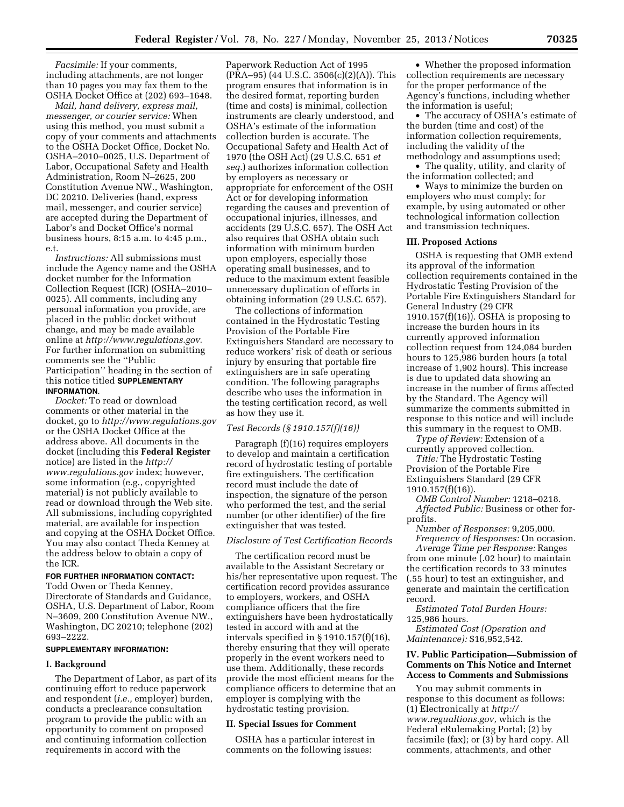*Facsimile:* If your comments, including attachments, are not longer than 10 pages you may fax them to the OSHA Docket Office at (202) 693–1648.

*Mail, hand delivery, express mail, messenger, or courier service:* When using this method, you must submit a copy of your comments and attachments to the OSHA Docket Office, Docket No. OSHA–2010–0025, U.S. Department of Labor, Occupational Safety and Health Administration, Room N–2625, 200 Constitution Avenue NW., Washington, DC 20210. Deliveries (hand, express mail, messenger, and courier service) are accepted during the Department of Labor's and Docket Office's normal business hours, 8:15 a.m. to 4:45 p.m., e.t.

*Instructions:* All submissions must include the Agency name and the OSHA docket number for the Information Collection Request (ICR) (OSHA–2010– 0025). All comments, including any personal information you provide, are placed in the public docket without change, and may be made available online at *<http://www.regulations.gov>*. For further information on submitting comments see the ''Public Participation'' heading in the section of this notice titled **SUPPLEMENTARY INFORMATION**.

*Docket:* To read or download comments or other material in the docket, go to *<http://www.regulations.gov>*  or the OSHA Docket Office at the address above. All documents in the docket (including this **Federal Register**  notice) are listed in the *[http://](http://www.regulations.gov) [www.regulations.gov](http://www.regulations.gov)* index; however, some information (e.g., copyrighted material) is not publicly available to read or download through the Web site. All submissions, including copyrighted material, are available for inspection and copying at the OSHA Docket Office. You may also contact Theda Kenney at the address below to obtain a copy of the ICR.

### **FOR FURTHER INFORMATION CONTACT:**

Todd Owen or Theda Kenney, Directorate of Standards and Guidance, OSHA, U.S. Department of Labor, Room N–3609, 200 Constitution Avenue NW., Washington, DC 20210; telephone (202) 693–2222.

## **SUPPLEMENTARY INFORMATION:**

#### **I. Background**

The Department of Labor, as part of its continuing effort to reduce paperwork and respondent (*i.e.,* employer) burden, conducts a preclearance consultation program to provide the public with an opportunity to comment on proposed and continuing information collection requirements in accord with the

Paperwork Reduction Act of 1995  $(PRA-95)$  (44 U.S.C. 3506(c)(2)(A)). This program ensures that information is in the desired format, reporting burden (time and costs) is minimal, collection instruments are clearly understood, and OSHA's estimate of the information collection burden is accurate. The Occupational Safety and Health Act of 1970 (the OSH Act) (29 U.S.C. 651 *et seq.*) authorizes information collection by employers as necessary or appropriate for enforcement of the OSH Act or for developing information regarding the causes and prevention of occupational injuries, illnesses, and accidents (29 U.S.C. 657). The OSH Act also requires that OSHA obtain such information with minimum burden upon employers, especially those operating small businesses, and to reduce to the maximum extent feasible unnecessary duplication of efforts in obtaining information (29 U.S.C. 657).

The collections of information contained in the Hydrostatic Testing Provision of the Portable Fire Extinguishers Standard are necessary to reduce workers' risk of death or serious injury by ensuring that portable fire extinguishers are in safe operating condition. The following paragraphs describe who uses the information in the testing certification record, as well as how they use it.

#### *Test Records (§ 1910.157(f)(16))*

Paragraph (f)(16) requires employers to develop and maintain a certification record of hydrostatic testing of portable fire extinguishers. The certification record must include the date of inspection, the signature of the person who performed the test, and the serial number (or other identifier) of the fire extinguisher that was tested.

#### *Disclosure of Test Certification Records*

The certification record must be available to the Assistant Secretary or his/her representative upon request. The certification record provides assurance to employers, workers, and OSHA compliance officers that the fire extinguishers have been hydrostatically tested in accord with and at the intervals specified in § 1910.157(f)(16), thereby ensuring that they will operate properly in the event workers need to use them. Additionally, these records provide the most efficient means for the compliance officers to determine that an employer is complying with the hydrostatic testing provision.

# **II. Special Issues for Comment**

OSHA has a particular interest in comments on the following issues:

• Whether the proposed information collection requirements are necessary for the proper performance of the Agency's functions, including whether the information is useful;

• The accuracy of OSHA's estimate of the burden (time and cost) of the information collection requirements, including the validity of the

methodology and assumptions used; • The quality, utility, and clarity of the information collected; and

• Ways to minimize the burden on employers who must comply; for example, by using automated or other technological information collection and transmission techniques.

#### **III. Proposed Actions**

OSHA is requesting that OMB extend its approval of the information collection requirements contained in the Hydrostatic Testing Provision of the Portable Fire Extinguishers Standard for General Industry (29 CFR 1910.157(f)(16)). OSHA is proposing to increase the burden hours in its currently approved information collection request from 124,084 burden hours to 125,986 burden hours (a total increase of 1,902 hours). This increase is due to updated data showing an increase in the number of firms affected by the Standard. The Agency will summarize the comments submitted in response to this notice and will include this summary in the request to OMB.

*Type of Review:* Extension of a currently approved collection.

*Title:* The Hydrostatic Testing Provision of the Portable Fire Extinguishers Standard (29 CFR 1910.157(f)(16)).

*OMB Control Number:* 1218–0218. *Affected Public:* Business or other forprofits.

*Number of Responses:* 9,205,000.

*Frequency of Responses:* On occasion. *Average Time per Response:* Ranges from one minute (.02 hour) to maintain the certification records to 33 minutes (.55 hour) to test an extinguisher, and generate and maintain the certification record.

*Estimated Total Burden Hours:*  125,986 hours.

*Estimated Cost (Operation and Maintenance):* \$16,952,542.

### **IV. Public Participation—Submission of Comments on This Notice and Internet Access to Comments and Submissions**

You may submit comments in response to this document as follows: (1) Electronically at *[http://](http://www.regualtions.gov) [www.regualtions.gov,](http://www.regualtions.gov)* which is the Federal eRulemaking Portal; (2) by facsimile (fax); or (3) by hard copy. All comments, attachments, and other